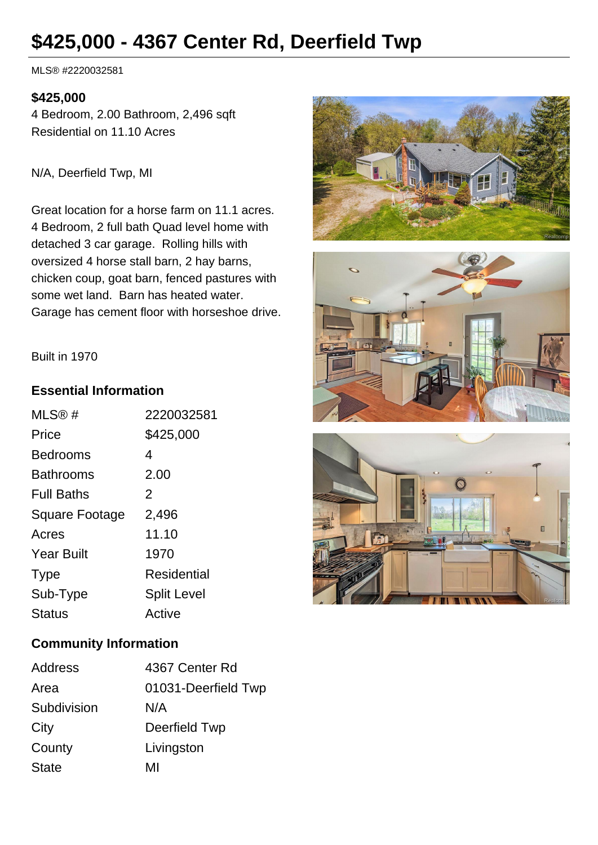# **\$425,000 - 4367 Center Rd, Deerfield Twp**

MLS® #2220032581

#### **\$425,000**

4 Bedroom, 2.00 Bathroom, 2,496 sqft Residential on 11.10 Acres

N/A, Deerfield Twp, MI

Great location for a horse farm on 11.1 acres. 4 Bedroom, 2 full bath Quad level home with detached 3 car garage. Rolling hills with oversized 4 horse stall barn, 2 hay barns, chicken coup, goat barn, fenced pastures with some wet land. Barn has heated water. Garage has cement floor with horseshoe drive.







#### Built in 1970

#### **Essential Information**

| MLS@#                 | 2220032581         |
|-----------------------|--------------------|
| Price                 | \$425,000          |
| <b>Bedrooms</b>       | 4                  |
| <b>Bathrooms</b>      | 2.00               |
| <b>Full Baths</b>     | 2                  |
| <b>Square Footage</b> | 2,496              |
| Acres                 | 11.10              |
| <b>Year Built</b>     | 1970               |
| <b>Type</b>           | Residential        |
| Sub-Type              | <b>Split Level</b> |
| Status                | Active             |

### **Community Information**

| Address      | 4367 Center Rd      |
|--------------|---------------------|
| Area         | 01031-Deerfield Twp |
| Subdivision  | N/A                 |
| City         | Deerfield Twp       |
| County       | Livingston          |
| <b>State</b> | MI                  |